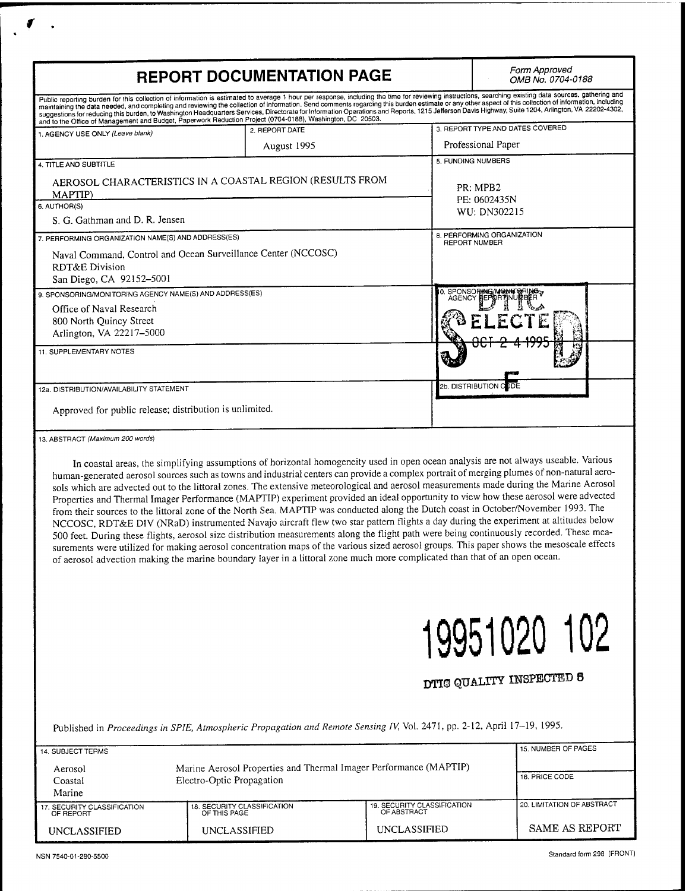|                                                                                                                        | <b>REPORT DOCUMENTATION PAGE</b>                                                                                             |                                                                                                                                                                                                                                                                                                                                                                                                                                                                                                                                                                                                                                                                                                                                                                                                                                                                                                                                                                                                                                                                                                                                           |  |
|------------------------------------------------------------------------------------------------------------------------|------------------------------------------------------------------------------------------------------------------------------|-------------------------------------------------------------------------------------------------------------------------------------------------------------------------------------------------------------------------------------------------------------------------------------------------------------------------------------------------------------------------------------------------------------------------------------------------------------------------------------------------------------------------------------------------------------------------------------------------------------------------------------------------------------------------------------------------------------------------------------------------------------------------------------------------------------------------------------------------------------------------------------------------------------------------------------------------------------------------------------------------------------------------------------------------------------------------------------------------------------------------------------------|--|
|                                                                                                                        |                                                                                                                              | Public reporting burden for this collection of information is estimated to average 1 hour per response, including the time for reviewing instructions, searching existing data sources, gathering and<br>maintaining the data needed, and completing and reviewing the collection of information. Send comments regarding this burden estimate or any other aspect of this collection of information, including maintaining the data ne<br>suggestions for reducing this burden, to Washington Headquarters Services, Directorate for Information Operations and Reports, 1215 Jefferson Davis Highway, Suite 1204, Arlington, VA 22202-4302,                                                                                                                                                                                                                                                                                                                                                                                                                                                                                             |  |
|                                                                                                                        | and to the Office of Management and Budget, Paperwork Reduction Project (0704-0188), Washington, DC 20503.<br>2. REPORT DATE | 3. REPORT TYPE AND DATES COVERED                                                                                                                                                                                                                                                                                                                                                                                                                                                                                                                                                                                                                                                                                                                                                                                                                                                                                                                                                                                                                                                                                                          |  |
| 1. AGENCY USE ONLY (Leave blank)                                                                                       | August 1995                                                                                                                  | Professional Paper                                                                                                                                                                                                                                                                                                                                                                                                                                                                                                                                                                                                                                                                                                                                                                                                                                                                                                                                                                                                                                                                                                                        |  |
| 4. TITLE AND SUBTITLE                                                                                                  |                                                                                                                              | 5. FUNDING NUMBERS                                                                                                                                                                                                                                                                                                                                                                                                                                                                                                                                                                                                                                                                                                                                                                                                                                                                                                                                                                                                                                                                                                                        |  |
| AEROSOL CHARACTERISTICS IN A COASTAL REGION (RESULTS FROM<br>MAPTIP)                                                   |                                                                                                                              | PR: MPB2                                                                                                                                                                                                                                                                                                                                                                                                                                                                                                                                                                                                                                                                                                                                                                                                                                                                                                                                                                                                                                                                                                                                  |  |
| 6. AUTHOR(S)<br>S. G. Gathman and D. R. Jensen                                                                         |                                                                                                                              | PE: 0602435N<br>WU: DN302215                                                                                                                                                                                                                                                                                                                                                                                                                                                                                                                                                                                                                                                                                                                                                                                                                                                                                                                                                                                                                                                                                                              |  |
| 7. PERFORMING ORGANIZATION NAME(S) AND ADDRESS(ES)                                                                     |                                                                                                                              | 8. PERFORMING ORGANIZATION<br><b>REPORT NUMBER</b>                                                                                                                                                                                                                                                                                                                                                                                                                                                                                                                                                                                                                                                                                                                                                                                                                                                                                                                                                                                                                                                                                        |  |
| Naval Command, Control and Ocean Surveillance Center (NCCOSC)<br><b>RDT&amp;E Division</b><br>San Diego, CA 92152-5001 |                                                                                                                              |                                                                                                                                                                                                                                                                                                                                                                                                                                                                                                                                                                                                                                                                                                                                                                                                                                                                                                                                                                                                                                                                                                                                           |  |
| 9. SPONSORING/MONITORING AGENCY NAME(S) AND ADDRESS(ES)                                                                |                                                                                                                              | O. SPONSORING/MONTORING                                                                                                                                                                                                                                                                                                                                                                                                                                                                                                                                                                                                                                                                                                                                                                                                                                                                                                                                                                                                                                                                                                                   |  |
| Office of Naval Research<br>800 North Quincy Street<br>Arlington, VA 22217-5000                                        |                                                                                                                              |                                                                                                                                                                                                                                                                                                                                                                                                                                                                                                                                                                                                                                                                                                                                                                                                                                                                                                                                                                                                                                                                                                                                           |  |
| 11. SUPPLEMENTARY NOTES                                                                                                |                                                                                                                              |                                                                                                                                                                                                                                                                                                                                                                                                                                                                                                                                                                                                                                                                                                                                                                                                                                                                                                                                                                                                                                                                                                                                           |  |
| 12a. DISTRIBUTION/AVAILABILITY STATEMENT                                                                               |                                                                                                                              | 2b. DISTRIBUTION C DDE                                                                                                                                                                                                                                                                                                                                                                                                                                                                                                                                                                                                                                                                                                                                                                                                                                                                                                                                                                                                                                                                                                                    |  |
| Approved for public release; distribution is unlimited.                                                                |                                                                                                                              |                                                                                                                                                                                                                                                                                                                                                                                                                                                                                                                                                                                                                                                                                                                                                                                                                                                                                                                                                                                                                                                                                                                                           |  |
| 13. ABSTRACT (Maximum 200 words)                                                                                       |                                                                                                                              |                                                                                                                                                                                                                                                                                                                                                                                                                                                                                                                                                                                                                                                                                                                                                                                                                                                                                                                                                                                                                                                                                                                                           |  |
|                                                                                                                        | of aerosol advection making the marine boundary layer in a littoral zone much more complicated than that of an open ocean.   | In coastal areas, the simplifying assumptions of horizontal homogeneity used in open ocean analysis are not always useable. Various<br>human-generated aerosol sources such as towns and industrial centers can provide a complex portrait of merging plumes of non-natural aero-<br>sols which are advected out to the littoral zones. The extensive meteorological and aerosol measurements made during the Marine Aerosol<br>Properties and Thermal Imager Performance (MAPTIP) experiment provided an ideal opportunity to view how these aerosol were advected<br>from their sources to the littoral zone of the North Sea. MAPTIP was conducted along the Dutch coast in October/November 1993. The<br>NCCOSC, RDT&E DIV (NRaD) instrumented Navajo aircraft flew two star pattern flights a day during the experiment at altitudes below<br>500 feet. During these flights, aerosol size distribution measurements along the flight path were being continuously recorded. These mea-<br>surements were utilized for making aerosol concentration maps of the various sized aerosol groups. This paper shows the mesoscale effects |  |
|                                                                                                                        |                                                                                                                              |                                                                                                                                                                                                                                                                                                                                                                                                                                                                                                                                                                                                                                                                                                                                                                                                                                                                                                                                                                                                                                                                                                                                           |  |

| 14. SUBJECT TERMS                        |                                                                                                |                                            |                            |  |  |
|------------------------------------------|------------------------------------------------------------------------------------------------|--------------------------------------------|----------------------------|--|--|
| Aerosol<br>Coastal<br>Marine             | Marine Aerosol Properties and Thermal Imager Performance (MAPTIP)<br>Electro-Optic Propagation | 16. PRICE CODE                             |                            |  |  |
| 17. SECURITY CLASSIFICATION<br>OF REPORT | 18. SECURITY CLASSIFICATION<br>OF THIS PAGE                                                    | 19. SECURITY CLASSIFICATION<br>OF ABSTRACT | 20. LIMITATION OF ABSTRACT |  |  |
| UNCLASSIFIED                             | UNCLASSIFIED                                                                                   | <b>UNCLASSIFIED</b>                        | SAME AS REPORT             |  |  |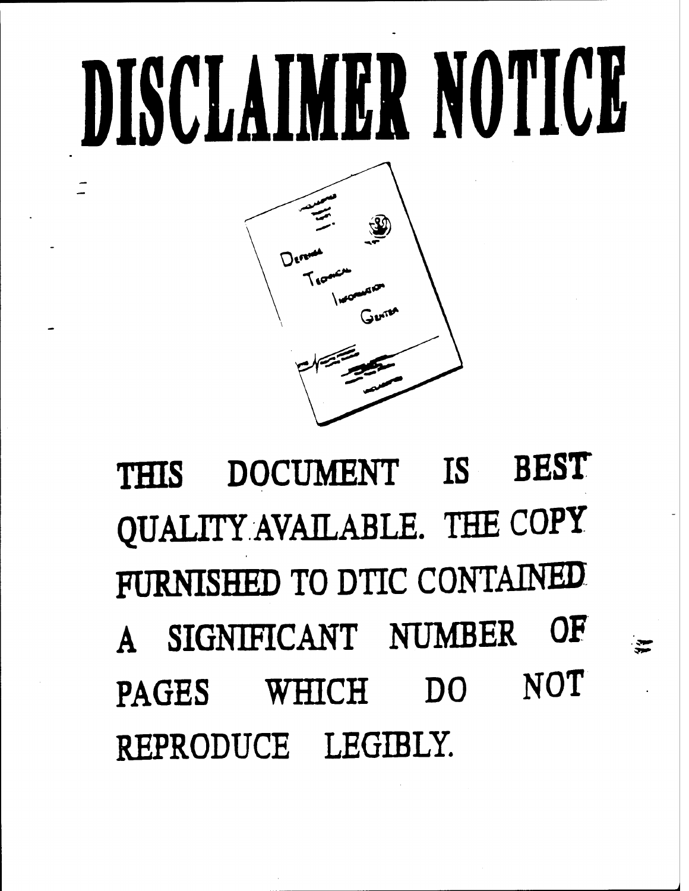# DISCLAIMER NOTICE



**THIS DOCUMENT IS BEST QUALITY AVAILABLE. THE COPY FURNISHED TO DTIC CONTAINED A SIGNIFICANT NUMBER OF PAGES WHICH DO NOT REPRODUCE LEGIBLY.**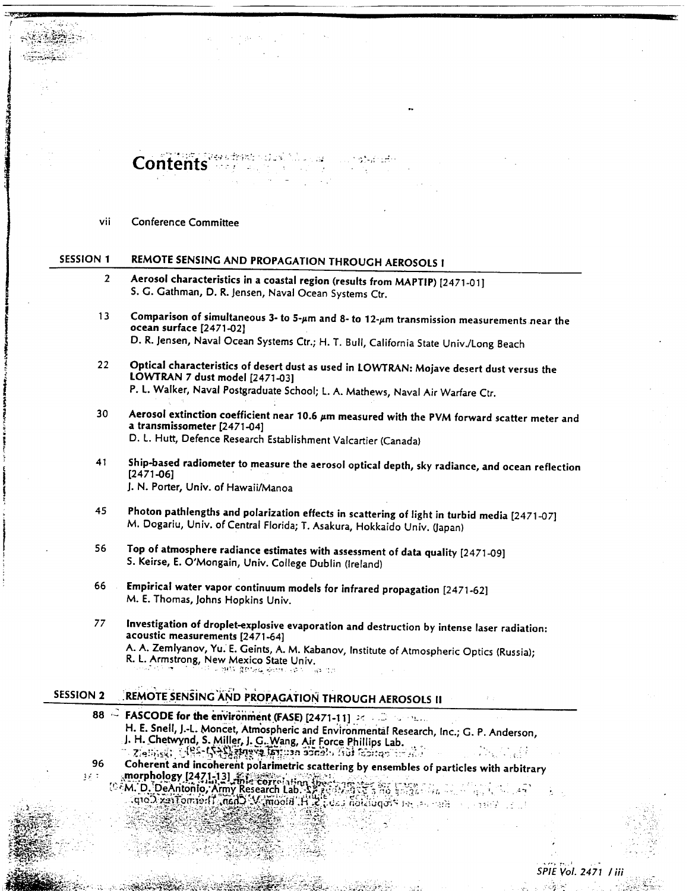$\textbf{Contents} \rightarrow \textbf{1} \rightarrow \textbf{1} \rightarrow \textbf{2} \rightarrow \textbf{3} \rightarrow \textbf{4} \rightarrow \textbf{5}$ 

vii Conference Committee

--W£2S0M

ÖSne;  $\pi$ S

# SESSION <sup>1</sup> REMOTE SENSING AND PROPAGATION THROUGH AEROSOLS <sup>I</sup>

- 2 Aerosol characteristics in a coastal region (results from MAPTIP) [2471-01] S. C. Cathman, D. R. Jensen, Naval Ocean Systems Ctr.
- 13 Comparison of simultaneous 3- to 5- $\mu$ m and 8- to 12- $\mu$ m transmission measurements near the ocean surface [2471-02] D. R. Jensen, Naval Ocean Systems Ctr.; H. T. Bull, California State Univ./Long Beach
- 22 Optical characteristics of desert dust as used in LOWTRAN: Mojave desert dust versus the LOWTRAN 7 dust model [2471-03] P. L. Walker, Naval Postgraduate School; L. A. Mathews, Naval Air Warfare Ctr.
- 30 Aerosol extinction coefficient near 10.6  $\mu$ m measured with the PVM forward scatter meter and a transmissometer [2471-04] D. L. Hurt, Defence Research Establishment Valcartier (Canada)
- Ship-based radiometer to measure the aerosol optical depth, sky radiance, and ocean reflection [2471-06] J. N. Porter, Univ. of Hawaii/Manoa 41
- 45 Photon pathlengths and polarization effects in scattering of light in turbid media [2471-07] M. Dogariu, Univ. of Central Florida; T. Asakura, Hokkaido Univ. (Japan)
- 56 Top of atmosphere radiance estimates with assessment of data quality [2471-09] S. Keirse, E. O'Mongain, Univ. College Dublin (Ireland)
- 66 Empirical water vapor continuum models for infrared propagation [2471-62] M. E. Thomas, Johns Hopkins Univ.
- *77* Investigation of droplet-explosive evaporation and destruction by intense laser radiation: acoustic measurements [2471-64] A. A. Zemlyanov, Yu. E. Ceints, A. M. Kabanov, Institute of Atmospheric Optics (Russia)- R. L. Armstrong, New Mexico State Univ.<br>والدهول المسجد التي تعلق التعادل المسجد : • v, sr-vs\*-;■■:-.->. ..•.- . *,,-. :.*■■
	-

# SESSION 2 REMOTE SENSING AND PROPAGATION THROUGH AEROSOLS II

\V. *j\v&^cfyiW&?~<--' '"'*■■*&*■■■

 $\frac{1}{2}$ 

- **88 FASCODE for the environment (FASE) [2471-11]** *at the sense* **in the sense of the sense of the sense of the sense of the sense of the sense of the sense of the sense of the sense of the sense of the sense of the sense** H. E. Snell, J.-L. Moncet, Atmospheric and Environmentaf Research, Inc.; G. P. Anderson J. H. Chetwynd, S. Miller, J. G. Wang, Air Force Phillips Lab.<br>' Zielinski; VII - IS + Saatus a latingan adralu frai facitao 'i. ai. .
- **96** Coherent and incoherent polarimetric scattering by ensembles of particles with arbitrary<br>1988 The synomology (2471-13) Expression and the synomic synomic synomic synomic synomic synomic synomic synom and the morphology [2471-13]  $\frac{1}{2}$   $\frac{1}{2}$   $\frac{1}{2}$   $\frac{1}{2}$   $\frac{1}{2}$   $\frac{1}{2}$   $\frac{1}{2}$   $\frac{1}{2}$   $\frac{1}{2}$   $\frac{1}{2}$   $\frac{1}{2}$   $\frac{1}{2}$   $\frac{1}{2}$   $\frac{1}{2}$   $\frac{1}{2}$   $\frac{1}{2}$   $\frac{1}{2}$   $\frac{1}{2}$   $\frac{1}{2}$   $\frac$ 
	- $(0.6M, D, DeAntoo, Army Research Lab.$  Software  $\frac{1}{2}$ ;  $\frac{1}{2}$ ;  $\frac{1}{2}$ ;  $\frac{1}{2}$ ;  $\frac{1}{2}$ ;  $\frac{1}{2}$ ;  $\frac{1}{2}$ ;  $\frac{1}{2}$ ;  $\frac{1}{2}$ ;  $\frac{1}{2}$ ;  $\frac{1}{2}$ ;  $\frac{1}{2}$ ;  $\frac{1}{2}$ ;  $\frac{1}{2}$ ;  $\frac{1}{2}$ ;  $\frac{1}{2}$ ;  $\frac{1}{2}$ ;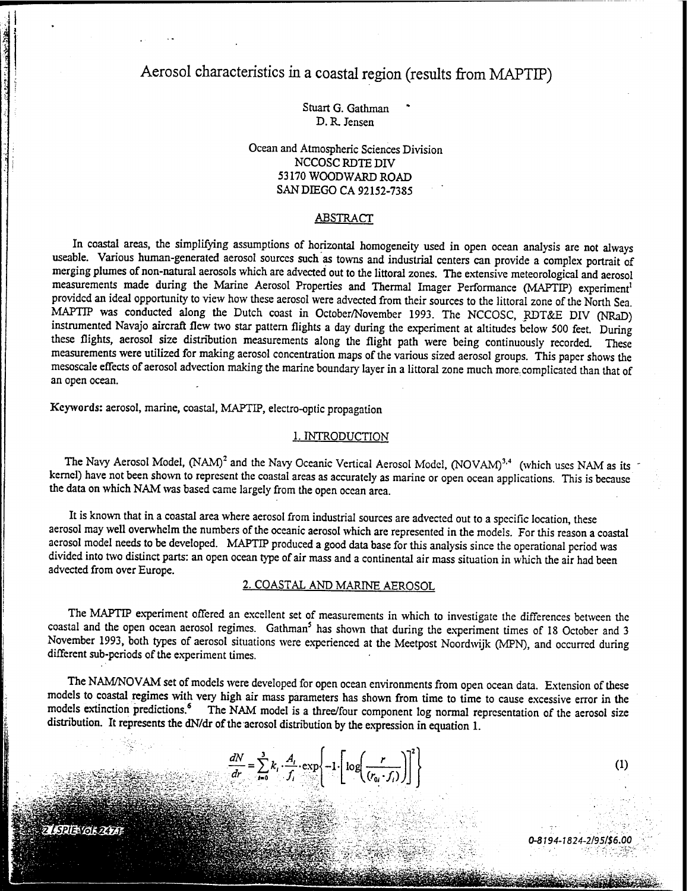Aerosol characteristics in a coastal region (results from MAPTIP)

Stuart G. Gathman \* D. R. Jensen

Ocean and Atmospheric Sciences Division NCCOSCRDTEDIV 53170 WOODWARD ROAD SAN DIEGO CA 92152-7385

#### **ABSTRACT**

In coastal areas, the simplifying assumptions of horizontal homogeneity used in open ocean analysis are not always useable. Various human-generated aerosol sources such as towns and industrial centers can provide a complex portrait of merging plumes of non-natural aerosols which are advected out to the littoral zones. The extensive meteorological and aerosol measurements made during the Marine Aerosol Properties and Thermal Imager Performance (MAPTIP) experiment<sup>1</sup> provided an ideal opportunity to view how these aerosol were advected from their sources to the littoral zone of the North Sea. MAPTIP was conducted along the Dutch coast in October/November 1993. The NCCOSC, RDT&E DIV (NRaD) instrumented Navajo aircraft flew two star pattern flights a day during the experiment at altitudes below 500 feet. During these flights, aerosol size distribution measurements along the flight path were being continuously recorded. These measurements were utilized for making aerosol concentration maps of the various sized aerosol groups. This paper shows the mesoscale effects of aerosol advection making the marine boundary layer in a littoral zone much more, complicated than that of an open ocean.

Keywords: aerosol, marine, coastal, MAPTIP, electro-optic propagation

#### 1. INTRODUCTION

The Navy Aerosol Model,  $(NAM)^2$  and the Navy Oceanic Vertical Aerosol Model,  $(NOVAM)^{3,4}$  (which uses NAM as its kernel) have not been shown to represent the coastal areas as accurately as marine or open ocean applications. This is because the data on which NAM was based came largely from the open ocean area.

It is known that in a coastal area where aerosol from industrial sources are advected out to a specific location, these aerosol may well overwhelm the numbers of the oceanic aerosol which are represented in the models. For this reason a coastal aerosol model needs to be developed. MAPTIP produced a good data base for this analysis since the operational period was divided into two distinct parts: an open ocean type of air mass and a continental air mass situation in which the air had been advected from over Europe.

### 2. COASTAL AND MARINE AEROSOL

The MAPTIP experiment offered an excellent set of measurements in which to investigate the differences between the coastal and the open ocean aerosol regimes. Gathman<sup>5</sup> has shown that during the experiment times of 18 October and 3 November 1993, both types of aerosol situations were experienced at the Meetpost Noordwijk (MPN), and occurred during different sub-periods of the experiment times.

The NAM/NOVAM set of models were developed for open ocean environments from open ocean data. Extension of these models to coastal regimes with very high air mass parameters has shown from time to time to cause excessive error in the models extinction predictions.<sup>6</sup> The NAM model is a three/four component log normal representation of the aerosol size distribution. It represents the dN/dr of the aerosol distribution by the expression in equation 1.

*0-8194-1824-2/95/\$6.00*

 $(1)$ 

$$
\frac{dN}{dr} = \sum_{i=0}^{3} k_i \cdot \frac{A_i}{f_i} \cdot \exp\left\{-1 \cdot \left[\log\left(\frac{r}{(r_{0i} \cdot f_i)}\right)\right]^2\right\}
$$

PIE VOL 2471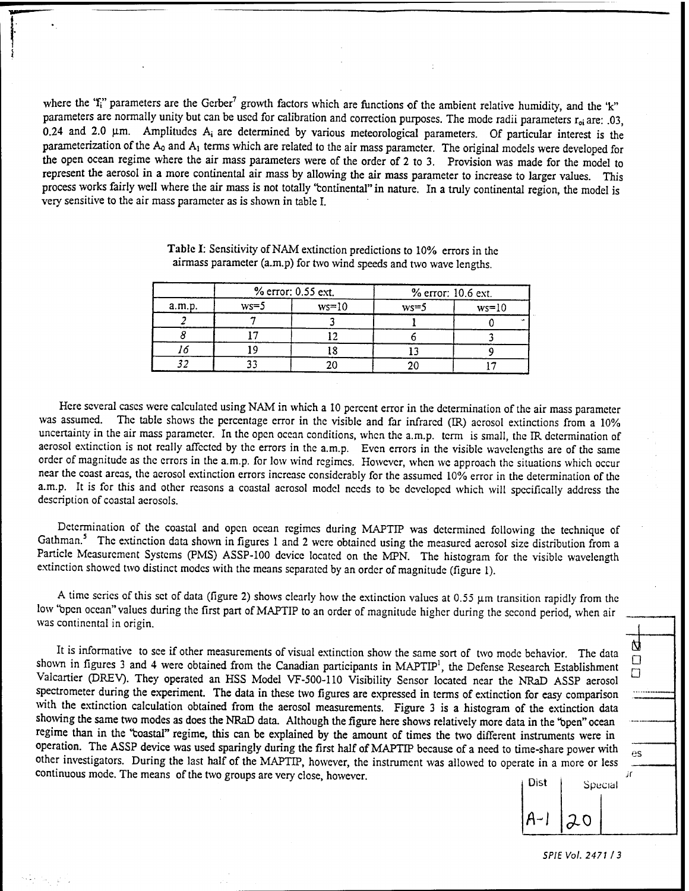where the 'f<sub>i</sub>" parameters are the Gerber<sup>7</sup> growth factors which are functions of the ambient relative humidity, and the 'k" parameters are normally unity but can be used for calibration and correction purposes. The mode radii parameters  $r_{oi}$  are: .03,  $0.24$  and  $2.0$   $\mu$ m. Amplitudes  $A_i$  are determined by various meteorological parameters. Of particular interest is the parameterization of the  $A_0$  and  $A_1$  terms which are related to the air mass parameter. The original models were developed for the open ocean regime where the air mass parameters were of the order of 2 to 3. Provision was made for the model to represent the aerosol in a more continental air mass by allowing the air mass parameter to increase to larger values. This process works fairly well where the air mass is not totally 'continental" in nature. In a truly continental region, the model is very sensitive to the air mass parameter as is shown in table I.

| a.m.p. | % error: 0.55 ext. |         | % error: 10.6 ext. |         |
|--------|--------------------|---------|--------------------|---------|
|        | $ws=5$             | $ws=10$ | $ws=5$             | $ws=10$ |
|        |                    |         |                    |         |
|        |                    |         |                    |         |
|        |                    |         |                    |         |
|        |                    |         |                    |         |

Table I: Sensitivity of NAM extinction predictions to 10% errors in the airmass parameter (a.m.p) for two wind speeds and two wave lengths.

Here several cases were calculated using NAM in which a 10 percent error in the determination of the air mass parameter<br>was assumed. The table shows the percentage error in the visible and far infrared (IB) acrosed extinct The table shows the percentage error in the visible and far infrared (IR) aerosol extinctions from a 10% uncertainty in the air mass parameter. In the open ocean conditions, when the a.m.p. term is small, the IR determination of aerosol extinction is not really affected by the errors in the a.m.p. Even errors in the visible wavelengths are of the same order of magnitude as the errors in the a.m.p. for low wind regimes. However, when we approach the situations which occur near the coast areas, the aerosol extinction errors increase considerably for the assumed 10% error in the determination of the a.m.p. It is for this and other reasons a coastal aerosol model needs to be developed which will specifically address the description of coastal aerosols.

Determination of the coastal and open ocean regimes during MAPTIP was determined following the technique of Gathman.<sup>5</sup> The extinction data shown in figures 1 and 2 were obtained using the measured aerosol size distribution from a Particle Measurement Systems (PMS) ASSP-100 device located on the MPN. The histogram for the visible wavelength extinction showed two distinct modes with the means separated by an order of magnitude (figure 1).

A time series of this set of data (figure 2) shows clearly how the extinction values at  $0.55 \mu m$  transition rapidly from the low 'bpen ocean" values during the first part of MAPTIP to an order of magnitude higher during the second period, when air was continental in origin.

It is informative to see if other measurements of visual extinction show the same sort of two mode behavior. The data shown in figures 3 and 4 were obtained from the Canadian participants in MAPTIP<sup>1</sup>, the Defense Research Establishment Valcartier (DREV). They operated an HSS Model VF-500-110 Visibility Sensor located near the NRaD ASSP aerosol spectrometer during the experiment. The data in these two figures are expressed in terms of extinction for easy comparison with the extinction calculation obtained from the aerosol measurements. Figure <sup>3</sup> is a histogram of the extinction data showing the same two modes as does the NRaD data. Although the figure here shows relatively more data in the "open" ocean regime than in the 'fcoastal" regime, this can be explained by the amount of times the two different instruments were in operation. The ASSP device was used sparingly during the first half of MAPTIP because of a need to time-share power with other investigators. During the last half of the MAPTIP, however, the instrument was allowed to operate in a more or less continuous mode. The means of the two groups are very close, however.



**D D**

Ŋ

es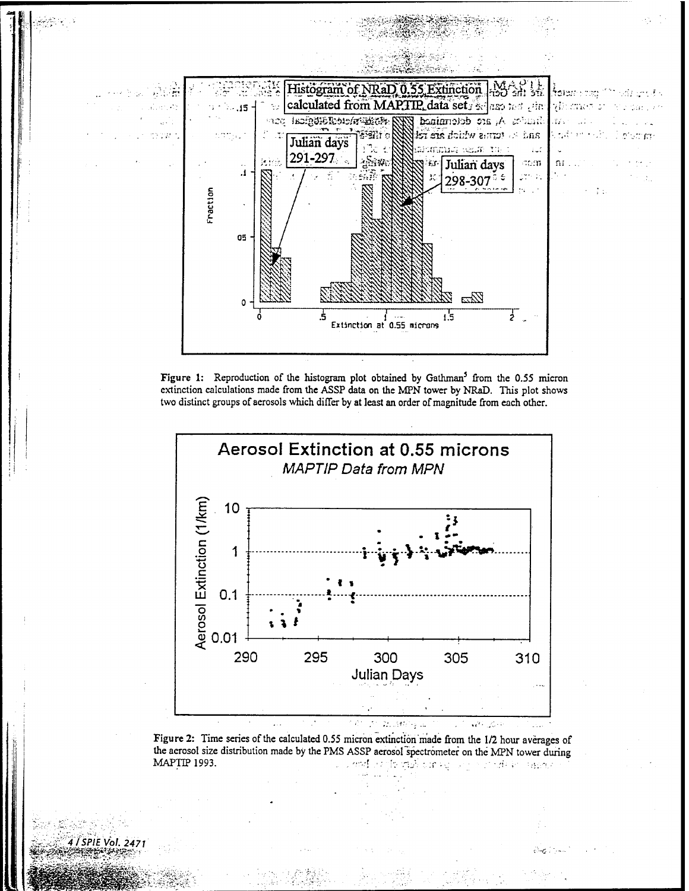





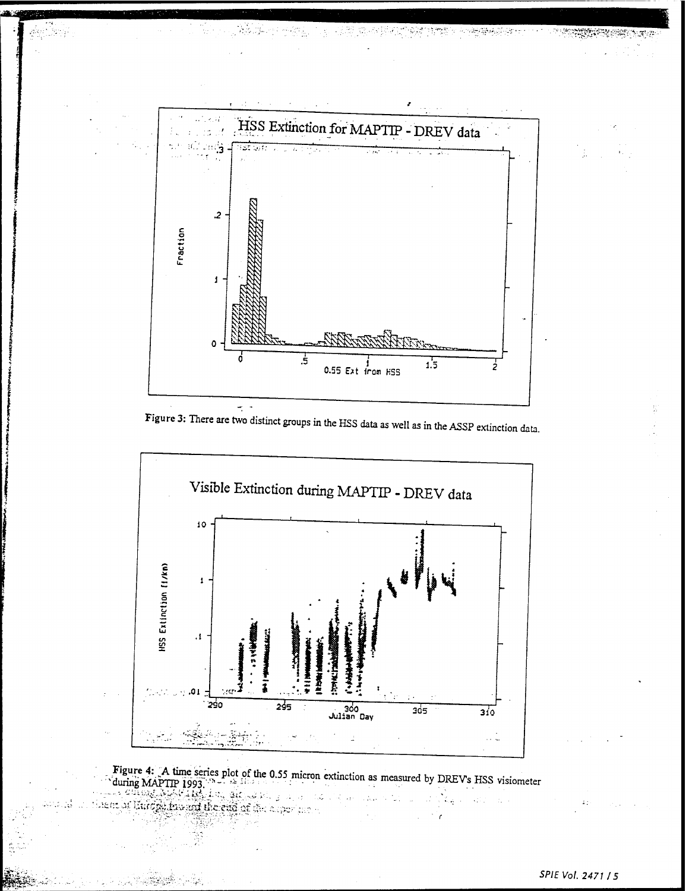

그 소리 화도장 밝기는

多数的物数

بدقة يغفر

Figure 3: There are two distinct groups in the HSS data as well as in the ASSP extinction data.



Figure 4: A time series plot of the 0.55 micron extinction as measured by DREVs HSS visiometer during MAPTIP 1993.

or limeration and the end of the superior of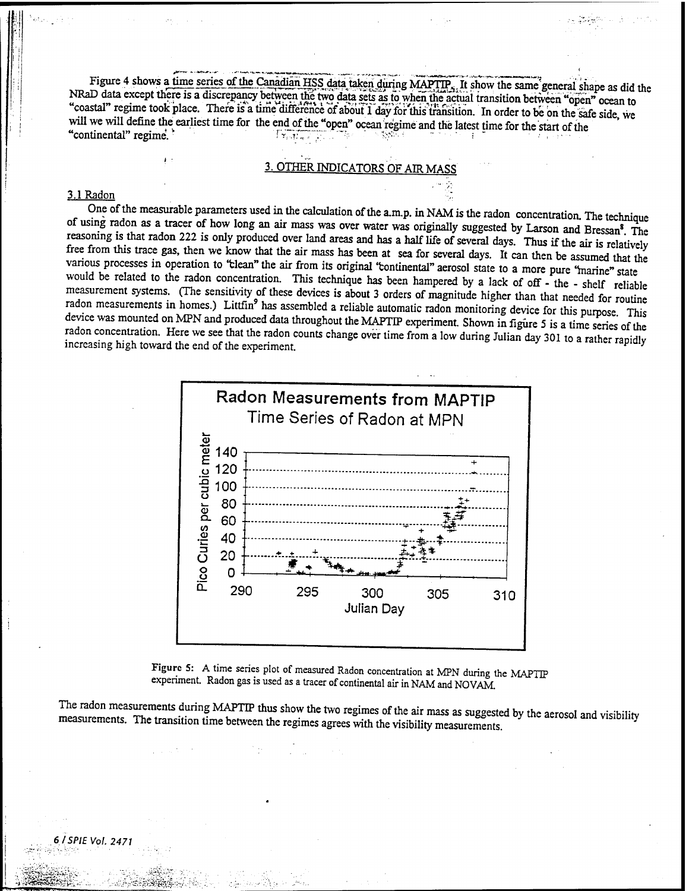Figure 4 shows a time series of the Canadian HSS data taken during MAPTIP., It show the same general shape as did the NRaD data except there is a discrepancy between the two data sets as to when the actual transition between "open" ocean to "coastal" regime took place. There is a time difference of about 1 day for this transition. In order to be on the safe side, we will we will define the earliest time for the end of the "open" ocean regime and the latest time for the start of the coastal regime took place. There is a time difference of about 1 day for this transition. In order to be on the will we will define the earliest time for the end of the "open" ocean regime and the latest time for the start

# 3. OTHER INDICATORS OF AIR M

#### **3.1 Radon '' ' ' ' ' ': ' '**' **' ': ' ': ' ': ' ': ' '**

One of the measurable parameters used in the calculation of the a.m.p. in NAM is the radon concentration. The technique of using radon as a tracer of how long an air mass was over water was originally suggested by Larson and Bressan<sup>8</sup>. The reasoning is that radon 222 is only produced over land areas and has a half life of several days. Thus if the air is relatively free from this trace gas, then we know that the air mass has been at sea for several days. It can then be assumed that the various processes in operation to 'clean" the air from its original 'continental" aerosol state to a more pure 'marine" state would be related to the radon concentration. This technique has been hampered by a lack of off - the - shelf reliable measurement systems. (The sensitivity of these devices is about 3 orders of magnitude higher than that needed for routine radon measurements in homes.) Littfin<sup>9</sup> has assembled a reliable automatic radon monitoring device for this numose. This device was mounted on MPN and produced data throughout the MAPTIP experiment. Shown in figure 5 is a time series of the radon concentration. Here we see that the radon counts change over time from a low during Julian day 301 to a rather ranidlv increasing high toward the end of the experiment.



Figure 5: A time series plot of measured Radon concentration at MPN during the MAPTIP experiment. Radon gas is used as a tracer of continental air in NAM and NOVAM.

The radon measurements during MAPTIP thus show the two regimes of the air mass as suggested by the aerosol and visibility measurements. The transition time between the regimes agrees with the visibility measurements.

**J>i§|Sil^i£:-'-:. •-0'V:?.?ä£&S->,'S-,**

**>.-**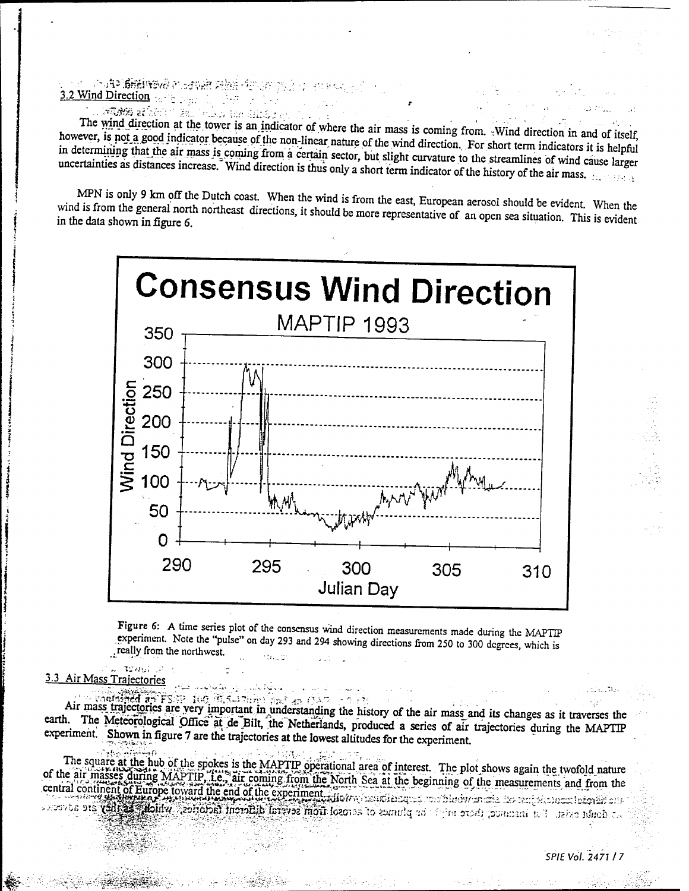3.2 Wind Direction - ; ....

" '" " ". .- "- - *l*

The wind direction at the tower is an indicator of where the air mass is coming from. Wind direction in and of itself, however, is not a good indicator because of the non-linear nature of the wind direction. For short term indicators it is helpful<br>in determining that the air mass is coming from a certain sector. Little aliable. in determining that the air mass is coming from a certain sector, but slight curvature to the streamlines of wind cause larger<br>uncertainties as distances increase. Wind direction is thus only a short term in tigation of th intervalse the dividend in that is computed from a certain sector, but slight curvature to the streamlines of wind cause larger<br>uncertainties as distances increase. Wind direction is thus only a short term indicator of the

:

MPN is only 9 km off the Dutch coast. When the wind is from the east, European aerosol should be evident. When the dis from the general north northeast directions it should be masses as when the wind is from the east, European aerosol should be evident. When the<br>in the data shown in figure 6.<br>in the data shown in figure 6. in the data shown in figure 6.



Figure 6: A time series plot of the consensus wind direction measurements made during the MAPTIP experiment. Note the "pulse" on day 293 and 294 showing directions from 250 to 300 degrees, which is .really from the northwest

**'->/'\_** 3.3 Air Mass Trajectories

 $\mathbb{R}^3$  , where  $\mathbb{R}^3$ 

*' :'<•:* **<?\_**■■**?-.**

Air mass trajectories are very important in understanding the history of the air mass and its changes as it traverses the earth. The Meteorological Office at de Bilt, the Netherlands, produced a series of air trajectories during the MAPTIP experiment. Shown in figure 7 are the trajectories at the lowest altitudes for the experiment.

The square at the hub of the spokes is the MAPTIP operational area of interest. The plot shows again the twofold nature of the air masses during MAPTIP i.e., air coming from the North Sea at the beginning of the measurements and from the central continent of Europe toward the end of the experiment. How we use at the beginning of the measurements and from the<br>central continent of Europe toward the end of the experiment. How we use a continent of the measure and the service of the contract of the common the plumes of acrossi from several different factories, which as filey are advected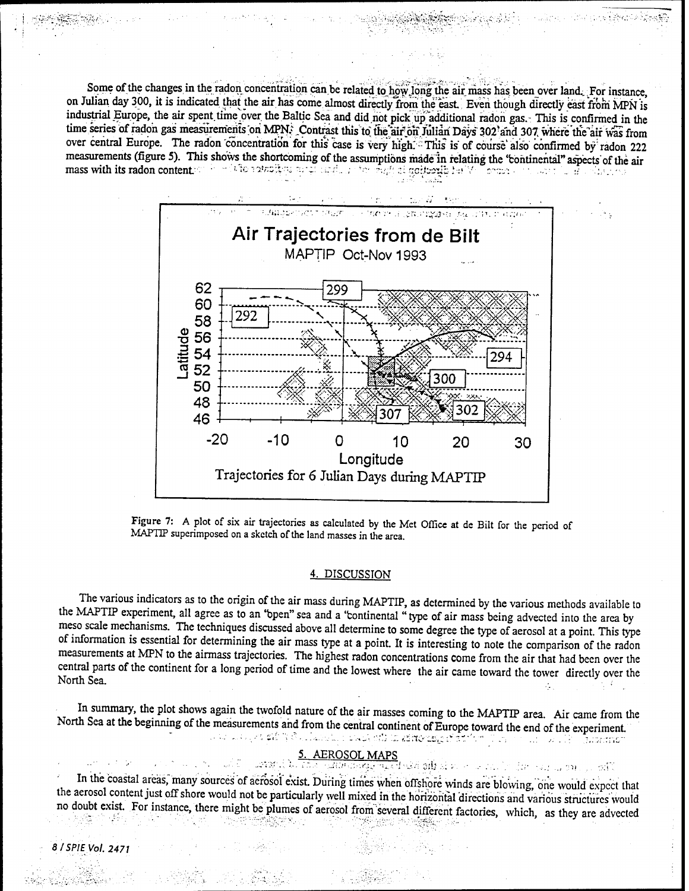Some of the changes in the radon concentration can be related to how long the air mass has been over land. For instance, on Julian day 300, it is indicated that the air has come almost directly from the east. Even though directly east from MPN is industrial Europe, the air spent time over the Baltic Sea and did not pick up additional radon gas. This is confirmed in the time series of radon gas measurements on MPN; Contrast this to the air on Julian Days 302 and 307 where the air was from over central Europe. The radon concentration for this case is very high. This is of course also confirmed by radon 222 measurements (figure 5). This shows the shortcoming of the assumptions made in relating the 'continental" aspects of the air mass with its radon content ' <sup>L</sup>2?)!;;;;t"i-;;-;: ,;r: . ; \*.-• *? ,,.'>.* ; ; *<sup>r</sup>:c:ixrub'* •:• <sup>V</sup> r-::,--. . ::- *': . ..-.:*



Figure 7: A plot of six air trajectories as calculated by the Met Office at de Bilt for the period of MAPTIP superimposed on a sketch of the land masses in the area.

#### 4. DISCUSSION

The various indicators as to the origin of the air mass during MAPTIP, as determined by the various methods available to the MAPTIP experiment, all agree as to an 'open" sea and a 'continental "type of air mass being advected into the area by meso scale mechanisms. The techniques discussed above all determine to some degree the type of aerosol at a point. This type of information is essential for determining the air mass type at a point. It is interesting to note the comparison of the radon measurements at MPN to the airmass trajectories. The highest radon concentrations come from the air that had been over the central parts of the continent for a long period of time and the lowest where the air came toward the tower directly over the North Sea. . ;-

In summary, the plot shows again the twofold nature of the air masses coming to the MAPTIP area. Air came from the North Sea at the beginning of the measurements and from the central continent of Europe toward the end of the experiment. ្មក្នុងរយស់ព្រះរាជបា

#### AEROSOL MAPS

ឃុំក ធ្លូវរ៉ូវ ស្ពាល

su pars se páli

In the coastal areas, many sources of aerosol exist. During times when offshore winds are blowing, one would expect that the aerosol content just off shore would not be particularly well mixed in the horizontal directions and various structures would no doubt exist. For instance, there might be plumes of aerosol from several different factories, which, as they are advected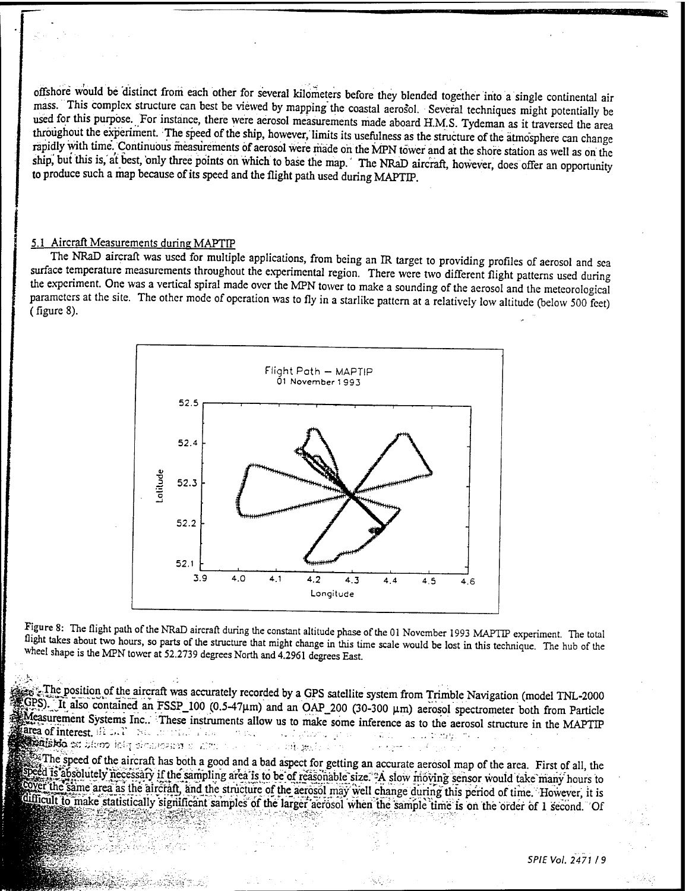offshore would be distinct from each other for several kilometers before they blended together into a single continental air mass. This complex structure can best be viewed by mapping the coastal aerosol. Several techniques might potentially be used for this purpose. For instance, there were aerosol measurements made aboard H.M.S. Tydeman as it traversed the area throughout the experiment. The speed of the ship, however, limits its usefulness as the structure of the atmosphere can change rapidly with time. Continuous measurements of aerosol were made on the MPN tower and at the shore station as well as on the ship, but this is, at best, only three points on which to base the map. The NRaD aircraft, however, does offer an opportunity to produce such a map because of its speed and the flight path used during MAPTIP.

#### 5.1 Aircraft Measurements during MAPTIP

The NRaD aircraft was used for multiple applications, from being an IR target to providing profiles of aerosol and sea surface temperature measurements throughout the experimental region. There were two different flight patterns used during the experiment. One was a vertical spiral made over the MPN tower to make a sounding of the aerosol and the meteorological parameters at the site. The other mode of operation was to fly in a starlike pattern at a relatively low altitude (below 500 feet) (figure 8).



Figure 8: The flight path of the NRaD aircraft during the constant altitude phase of the 01 November 1993 MAPTIP experiment. The total flight takes about two hours, so parts of the structure that might change in this time scale would be lost in this technique. The hub of the wheel shape is the MPN tower at 52.2739 degrees North and 4.2961 degrees East

Figure The position of the aircraft was accurately recorded by a GPS satellite system from Trimble Navigation (model TNL-2000  $SPS$ ). It also contained an FSSP\_100 (0.5-47µm) and an OAP\_200 (30-300 µm) aerosol spectrometer both from Particle **EXPERISION Systems Inc..** These instruments allow us to make some inference as to the aerosol structure in the MAPTIP |£rea ofinterest. ^-<-'" :-;• : •;'•.' ;'=.- -■■.••.. ...',.-..•.■■■.. : . . -. -....:;. -. IT also contained an FSSP\_100 (0.5-47 $\mu$ m) and an OAP\_200 (30-300  $\mu$ m) aerosol sp<br>surement Systems Inc.: These instruments allow us to make some inference as to the aer<br>of interest,  $\frac{1}{2}$ :...,  $\frac{1}{2}$  and  $\frac{1}{2$ 

The speed of the aircraft has both a good and a bad aspect for getting an accurate aerosol map of the area. First of all, the Speed is absolutely necessary if the sampling area is to be of reasonable size. A slow moving sensor would take many hours to Cover the same area as the aircraft, and the structure of the aerosol may well change during this period of time. However, it is Super the same area as the aircraft, and the structure of the aerosol may well change during this period of time. However, it is difficult to make statistically significant samples of the larger aerosol when the sample tim *M§§^W:W&^ Substitutionally significant samples of the anger aerosof when the sample time is on the order of 1 second.*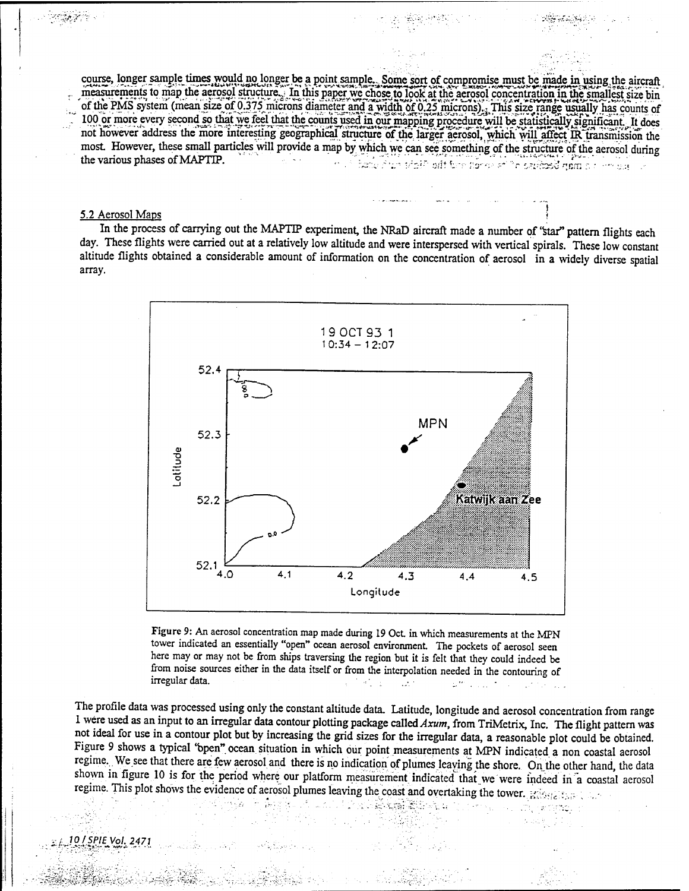course, longer sample times would no longer be a point sample.. Some sort of compromise must be made in using the aircraft measurements to map the aerosol structure. In this paper we chose to look at the aerosol concentration in the smallest size bin ofthe PMS system (mean size of 0.375 microns diameter and a width öf 0.25 microns)... This size range usually has counts of 100 or more every second so that we feel that the counts used in our mapping procedure will be statistically significant. It does not however address the more interesting geographical structure of the larger aerosol, which will affect IR transmission the most. However, these small particles will provide a map by which we can see something of the structure of the aerosol during<br>the various phases of MAPTIP. **..'?+ ?**

#### 5.2 Aerosol Maps *\*

In the process of carrying out the MAPTIP experiment, the NRaD aircraft made a number of 'star" pattern flights each day. These flights were carried out at a relatively low altitude and were interspersed with vertical spirals. These low constant altitude flights obtained a considerable amount of information on the concentration of aerosol in a widely diverse spatial array.



Figure 9: An aerosol concentration map made during 19 Oct in which measurements at the MPN tower indicated an essentially "open" ocean aerosol environment. The pockets of aerosol seen here may or may not be from ships traversing the region but it is felt that they could indeed be from noise sources either in the data itself or from the interpolation needed in the contouring of irregular data. - 1999. - 1999. - 1999. - 1999. - 1999. - 1999. - 1999. - 1999. - 1999. - 1999. - 1999. - 1999

The profile data was processed using only the constant altitude data. Latitude, longitude and aerosol concentration from range <sup>1</sup> were used as an input to an irregular data contour plotting package called *Axum,* from TriMetrix, Inc. The flight pattern was not ideal for use in a contour plot but by increasing the grid sizes for the irregular data, a reasonable plot could be obtained. Figure 9 shows a typical \*bpen" ocean situation in which our point measurements at MPN indicated a non coastal aerosol regime. We see that there are few aerosol and there is no indication of plumes leaving the shore. On the other hand, the data shown in figure 10 is for the period where our platform measurement indicated that we were indeed in a coastal aerosol regime. This plot shows the evidence of aerosol plumes leaving the coast and overtaking the tower.  $\mathbb{R}^n$ :

566 - South 대학부 부

./ *10/SPIEVol.2471*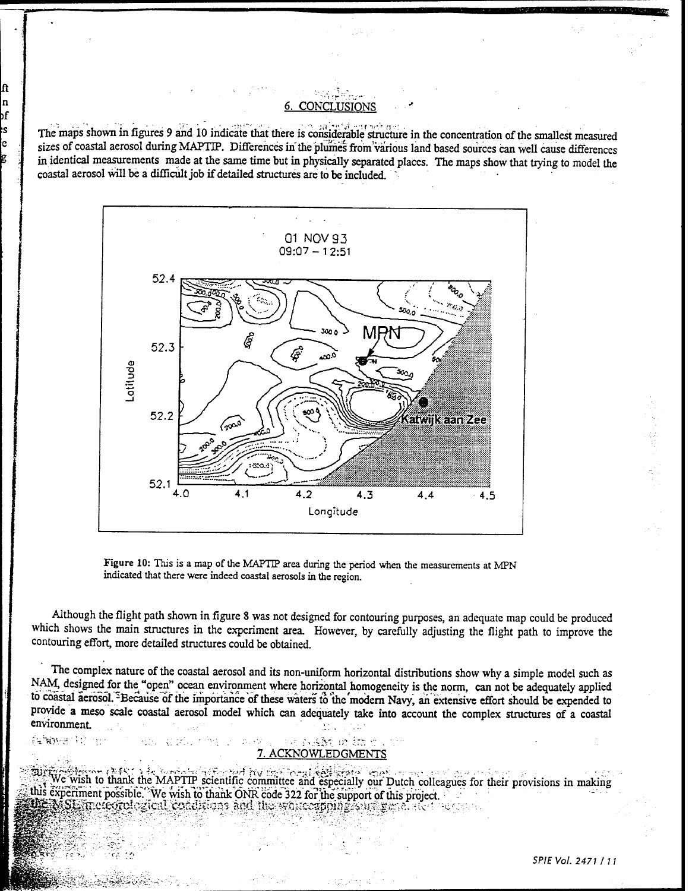# **CONCLUSIONS**

IJ, n

λf Ś

e

fanger til ge

化加工钢 医乳头

The maps shown in figures 9 and 10 indicate that there is considerable structure in the concentration of the smallest measured sizes of coastal aerosol during MAPTIP. Differences in the plumes from various land based sources can well cause differences in identical measurements made at the same time but in physically separated places. The maps show that trying to model the coastal aerosol will be a difficult job if detailed structures are to be included.



Figure 10: This is a map of the MAPTIP area during the period when the measurements at MPN indicated that there were indeed coastal aerosols in the region.

Although the flight path shown in figure 8 was not designed for contouring purposes, an adequate map could be produced which shows the main structures in the experiment area. However, by carefully adjusting the flight path to improve the contouring effort, more detailed structures could be obtained.

The complex nature of the coastal aerosol and its non-uniform horizontal distributions show why a simple model such as NAM, designed for the "open" ocean environment where horizontal homogeneity is the norm, can not be adequately applied to coastal aerosol. <sup>5</sup>Because of the importance of these waters to the modern Navy, an extensive effort should be expended to provide a meso scale coastal aerosol model which can adequately take into account the complex structures of a coastal environment.

#### ਤੇ ਵੱਡੇ ਸਾ ਸ਼ੋਰ ਹ 7. ACKNOWLEDGMENTS

We wish to thank the MAPTIP scientific committee and especially our Dutch colleagues for their provisions in making this experiment possible. We wish to thank ONR code 322 for the support of this project. **DE NSE increord giod conditions and the warrespoing companies** of also